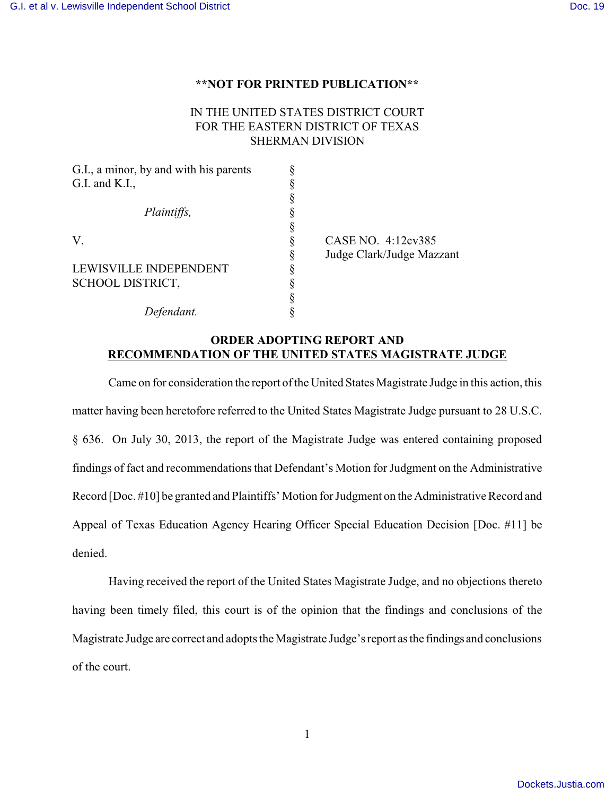## **\*\*NOT FOR PRINTED PUBLICATION\*\***

## IN THE UNITED STATES DISTRICT COURT FOR THE EASTERN DISTRICT OF TEXAS SHERMAN DIVISION

| G.I., a minor, by and with his parents |                           |
|----------------------------------------|---------------------------|
| G.I. and K.I.,                         |                           |
|                                        |                           |
| Plaintiffs,                            |                           |
|                                        |                           |
| V.                                     | CASE NO. 4:12cv385        |
|                                        | Judge Clark/Judge Mazzant |
| LEWISVILLE INDEPENDENT                 |                           |
| <b>SCHOOL DISTRICT,</b>                |                           |
|                                        |                           |
| Defendant.                             |                           |

## **ORDER ADOPTING REPORT AND RECOMMENDATION OF THE UNITED STATES MAGISTRATE JUDGE**

Came on for consideration the report of the United States Magistrate Judge in this action, this matter having been heretofore referred to the United States Magistrate Judge pursuant to 28 U.S.C. § 636. On July 30, 2013, the report of the Magistrate Judge was entered containing proposed findings of fact and recommendations that Defendant's Motion for Judgment on the Administrative Record [Doc. #10] be granted and Plaintiffs' Motion for Judgment on the Administrative Record and Appeal of Texas Education Agency Hearing Officer Special Education Decision [Doc. #11] be denied.

Having received the report of the United States Magistrate Judge, and no objections thereto having been timely filed, this court is of the opinion that the findings and conclusions of the Magistrate Judge are correct and adopts the Magistrate Judge's report as the findings and conclusions of the court.